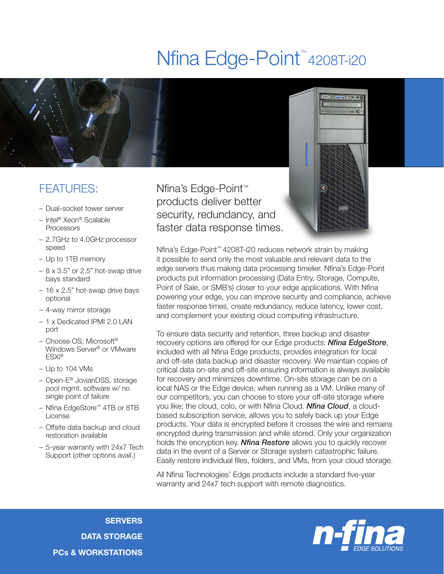## Nfina Edge-Point<sup>™</sup>4208T-i20



## FEATURES:

- Dual-socket tower server
- Intel® Xeon® Scalable Processors
- 2.7GHz to 4.0GHz processor speed
- Up to 1TB memory
- $-8 \times 3.5$ " or 2.5" hot-swap drive bays standard
- 16 x 2.5" hot-swap drive bays optional
- 4-way mirror storage
- 1 x Dedicated IPMI 2.0 LAN port
- Choose OS; Microsoft® Windows Server® or VMware ESXi®
- Up to 104 VMs
- Open-E® JovianDSS, storage pool mgmt. software w/ no single point of failure
- Nfina EdgeStore™ 4TB or 8TB License
- Offsite data backup and cloud restoration available
- 5-year warranty with 24x7 Tech Support (other options avail.)

Nfina's Edge-Point™ products deliver better security, redundancy, and faster data response times.



Nfina's Edge-Point™ 4208T-i20 reduces network strain by making it possible to send only the most valuable and relevant data to the edge servers thus making data processing timelier. Nfina's Edge-Point products put information processing (Data Entry, Storage, Compute, Point of Sale, or SMB's) closer to your edge applications. With Nfina powering your edge, you can improve security and compliance, achieve faster response times, create redundancy, reduce latency, lower cost, and complement your existing cloud computing infrastructure.

To ensure data security and retention, three backup and disaster recovery options are offered for our Edge products: *Nfina EdgeStore*, included with all Nfina Edge products, provides integration for local and off-site data backup and disaster recovery. We maintain copies of critical data on-site and off-site ensuring information is always available for recovery and minimizes downtime. On-site storage can be on a local NAS or the Edge device, when running as a VM. Unlike many of our competitors, you can choose to store your off-site storage where you like; the cloud, colo, or with Nfina Cloud. *Nfina Cloud*, a cloudbased subscription service, allows you to safely back up your Edge products. Your data is encrypted before it crosses the wire and remains encrypted during transmission and while stored. Only your organization holds the encryption key. *Nfina Restore* allows you to quickly recover data in the event of a Server or Storage system catastrophic failure. Easily restore individual files, folders, and VMs, from your cloud storage.

All Nfina Technologies' Edge products include a standard five-year warranty and 24x7 tech support with remote diagnostics.

**SERVERS** DATA STORAGE PCs & WORKSTATIONS

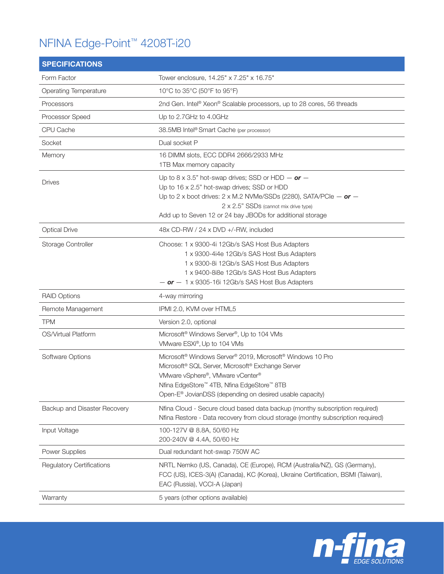## NFINA Edge-Point™ 4208T-i20

| <b>SPECIFICATIONS</b>            |                                                                                                                                                                                                                                                                                                               |
|----------------------------------|---------------------------------------------------------------------------------------------------------------------------------------------------------------------------------------------------------------------------------------------------------------------------------------------------------------|
| Form Factor                      | Tower enclosure, 14.25" x 7.25" x 16.75"                                                                                                                                                                                                                                                                      |
| <b>Operating Temperature</b>     | 10°C to 35°C (50°F to 95°F)                                                                                                                                                                                                                                                                                   |
| Processors                       | 2nd Gen. Intel® Xeon® Scalable processors, up to 28 cores, 56 threads                                                                                                                                                                                                                                         |
| Processor Speed                  | Up to 2.7GHz to 4.0GHz                                                                                                                                                                                                                                                                                        |
| CPU Cache                        | 38.5MB Intel® Smart Cache (per processor)                                                                                                                                                                                                                                                                     |
| Socket                           | Dual socket P                                                                                                                                                                                                                                                                                                 |
| Memory                           | 16 DIMM slots, ECC DDR4 2666/2933 MHz<br>1TB Max memory capacity                                                                                                                                                                                                                                              |
| <b>Drives</b>                    | Up to 8 x 3.5" hot-swap drives; SSD or HDD $-$ or $-$<br>Up to 16 x 2.5" hot-swap drives; SSD or HDD<br>Up to 2 x boot drives: 2 x M.2 NVMe/SSDs (2280), SATA/PCle $-$ or $-$<br>2 x 2.5" SSDs (cannot mix drive type)<br>Add up to Seven 12 or 24 bay JBODs for additional storage                           |
| <b>Optical Drive</b>             | 48x CD-RW / 24 x DVD +/-RW, included                                                                                                                                                                                                                                                                          |
| Storage Controller               | Choose: 1 x 9300-4i 12Gb/s SAS Host Bus Adapters<br>1 x 9300-4i4e 12Gb/s SAS Host Bus Adapters<br>1 x 9300-8i 12Gb/s SAS Host Bus Adapters<br>1 x 9400-8i8e 12Gb/s SAS Host Bus Adapters<br>$-$ or $-$ 1 x 9305-16i 12Gb/s SAS Host Bus Adapters                                                              |
| <b>RAID Options</b>              | 4-way mirroring                                                                                                                                                                                                                                                                                               |
| Remote Management                | IPMI 2.0, KVM over HTML5                                                                                                                                                                                                                                                                                      |
| <b>TPM</b>                       | Version 2.0, optional                                                                                                                                                                                                                                                                                         |
| OS/Virtual Platform              | Microsoft <sup>®</sup> Windows Server <sup>®</sup> , Up to 104 VMs<br>VMware ESXi®, Up to 104 VMs                                                                                                                                                                                                             |
| Software Options                 | Microsoft <sup>®</sup> Windows Server <sup>®</sup> 2019, Microsoft <sup>®</sup> Windows 10 Pro<br>Microsoft® SQL Server, Microsoft® Exchange Server<br>VMware vSphere®, VMware vCenter®<br>Nfina EdgeStore™ 4TB, Nfina EdgeStore™ 8TB<br>Open-E <sup>®</sup> JovianDSS (depending on desired usable capacity) |
| Backup and Disaster Recovery     | Nfina Cloud - Secure cloud based data backup (monthy subscription required)<br>Nfina Restore - Data recovery from cloud storage (monthy subscription required)                                                                                                                                                |
| Input Voltage                    | 100-127V @ 8.8A, 50/60 Hz<br>200-240V @ 4.4A, 50/60 Hz                                                                                                                                                                                                                                                        |
| <b>Power Supplies</b>            | Dual redundant hot-swap 750W AC                                                                                                                                                                                                                                                                               |
| <b>Regulatory Certifications</b> | NRTL Nemko (US, Canada), CE (Europe), RCM (Australia/NZ), GS (Germany),<br>FCC (US), ICES-3(A) (Canada), KC (Korea), Ukraine Certification, BSMI (Taiwan),<br>EAC (Russia), VCCI-A (Japan)                                                                                                                    |
| Warranty                         | 5 years (other options available)                                                                                                                                                                                                                                                                             |